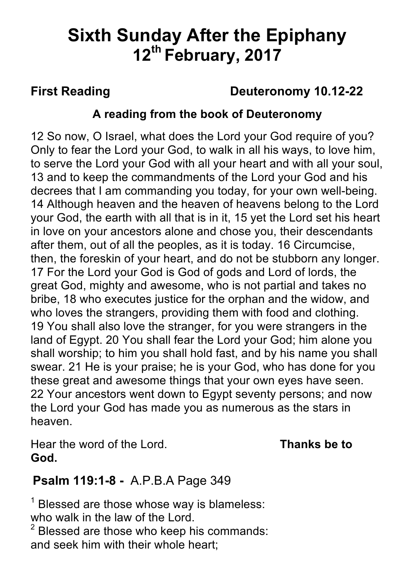# **Sixth Sunday After the Epiphany 12th February, 2017**

# **First Reading Deuteronomy 10.12-22**

### **A reading from the book of Deuteronomy**

12 So now, O Israel, what does the Lord your God require of you? Only to fear the Lord your God, to walk in all his ways, to love him, to serve the Lord your God with all your heart and with all your soul, 13 and to keep the commandments of the Lord your God and his decrees that I am commanding you today, for your own well-being. 14 Although heaven and the heaven of heavens belong to the Lord your God, the earth with all that is in it, 15 yet the Lord set his heart in love on your ancestors alone and chose you, their descendants after them, out of all the peoples, as it is today. 16 Circumcise, then, the foreskin of your heart, and do not be stubborn any longer. 17 For the Lord your God is God of gods and Lord of lords, the great God, mighty and awesome, who is not partial and takes no bribe, 18 who executes justice for the orphan and the widow, and who loves the strangers, providing them with food and clothing. 19 You shall also love the stranger, for you were strangers in the land of Egypt. 20 You shall fear the Lord your God; him alone you shall worship; to him you shall hold fast, and by his name you shall swear. 21 He is your praise; he is your God, who has done for you these great and awesome things that your own eyes have seen. 22 Your ancestors went down to Egypt seventy persons; and now the Lord your God has made you as numerous as the stars in heaven.

Hear the word of the Lord. **Thanks be to God.**

# **Psalm 119:1-8 -** A.P.B.A Page 349

 $<sup>1</sup>$  Blessed are those whose way is blameless:</sup> who walk in the law of the Lord.

 $2$  Blessed are those who keep his commands: and seek him with their whole heart;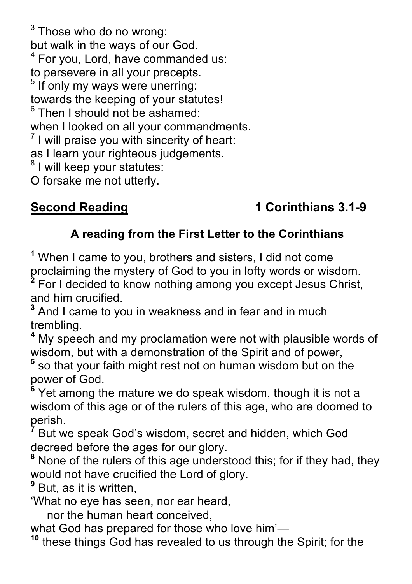$3$  Those who do no wrong: but walk in the ways of our God. <sup>4</sup> For you, Lord, have commanded us: to persevere in all your precepts.  $<sup>5</sup>$  If only my ways were unerring:</sup> towards the keeping of your statutes!  $6$  Then I should not be ashamed: when I looked on all your commandments.  $<sup>7</sup>$  I will praise you with sincerity of heart:</sup> as I learn your righteous judgements. <sup>8</sup> I will keep your statutes:

O forsake me not utterly.

# **Second Reading 1 Corinthians 3.1-9**

# **A reading from the First Letter to the Corinthians**

**<sup>1</sup>** When I came to you, brothers and sisters, I did not come proclaiming the mystery of God to you in lofty words or wisdom.

**<sup>2</sup>** For I decided to know nothing among you except Jesus Christ, and him crucified.

**<sup>3</sup>** And I came to you in weakness and in fear and in much trembling.

**<sup>4</sup>** My speech and my proclamation were not with plausible words of wisdom, but with a demonstration of the Spirit and of power,

**<sup>5</sup>** so that your faith might rest not on human wisdom but on the power of God.

<sup>6</sup> Yet among the mature we do speak wisdom, though it is not a wisdom of this age or of the rulers of this age, who are doomed to perish.

**<sup>7</sup>** But we speak God's wisdom, secret and hidden, which God decreed before the ages for our glory.

**<sup>8</sup>** None of the rulers of this age understood this; for if they had, they would not have crucified the Lord of glory.

<sup>9</sup> But, as it is written,

'What no eye has seen, nor ear heard,

nor the human heart conceived,

what God has prepared for those who love him'—<br><sup>10</sup> these things God has revealed to us through the Spirit; for the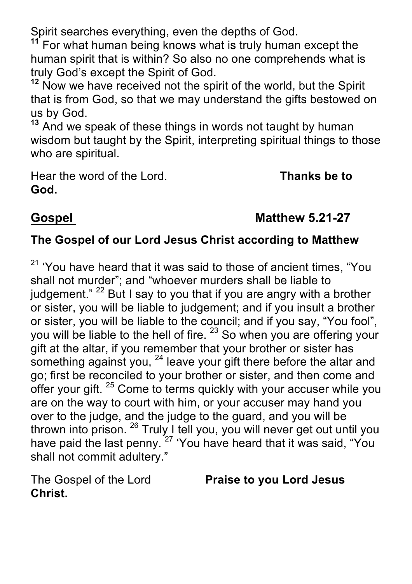Spirit searches everything, even the depths of God.

**<sup>11</sup>** For what human being knows what is truly human except the human spirit that is within? So also no one comprehends what is truly God's except the Spirit of God.

**<sup>12</sup>** Now we have received not the spirit of the world, but the Spirit that is from God, so that we may understand the gifts bestowed on us by God.

**<sup>13</sup>** And we speak of these things in words not taught by human wisdom but taught by the Spirit, interpreting spiritual things to those who are spiritual.

Hear the word of the Lord. **Thanks be to God.**

# **Gospel Matthew 5.21-27**

### **The Gospel of our Lord Jesus Christ according to Matthew**

 $21$  'You have heard that it was said to those of ancient times, "You shall not murder"; and "whoever murders shall be liable to judgement."  $22$  But I say to you that if you are angry with a brother or sister, you will be liable to judgement; and if you insult a brother or sister, you will be liable to the council; and if you say, "You fool", you will be liable to the hell of fire. <sup>23</sup> So when you are offering your gift at the altar, if you remember that your brother or sister has something against you,  $24$  leave your gift there before the altar and go; first be reconciled to your brother or sister, and then come and offer your gift. <sup>25</sup> Come to terms quickly with your accuser while you are on the way to court with him, or your accuser may hand you over to the judge, and the judge to the guard, and you will be thrown into prison. <sup>26</sup> Truly I tell you, you will never get out until you have paid the last penny. <sup>27</sup> 'You have heard that it was said, "You shall not commit adultery."

**Christ.**

The Gospel of the Lord **Praise to you Lord Jesus**